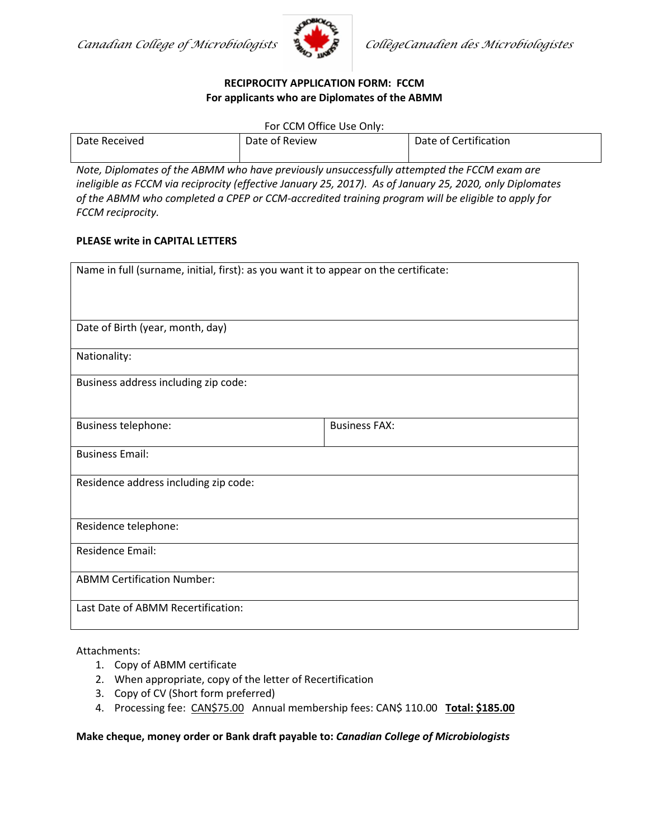

## **RECIPROCITY APPLICATION FORM: FCCM For applicants who are Diplomates of the ABMM**

For CCM Office Use Only:

| Date Received | Date of Review | Date of Certification |
|---------------|----------------|-----------------------|
|               |                |                       |

*Note, Diplomates of the ABMM who have previously unsuccessfully attempted the FCCM exam are ineligible as FCCM via reciprocity (effective January 25, 2017). As of January 25, 2020, only Diplomates of the ABMM who completed a CPEP or CCM-accredited training program will be eligible to apply for FCCM reciprocity.*

## **PLEASE write in CAPITAL LETTERS**

| Name in full (surname, initial, first): as you want it to appear on the certificate: |                      |  |  |
|--------------------------------------------------------------------------------------|----------------------|--|--|
|                                                                                      |                      |  |  |
|                                                                                      |                      |  |  |
| Date of Birth (year, month, day)                                                     |                      |  |  |
| Nationality:                                                                         |                      |  |  |
| Business address including zip code:                                                 |                      |  |  |
|                                                                                      |                      |  |  |
| Business telephone:                                                                  | <b>Business FAX:</b> |  |  |
| <b>Business Email:</b>                                                               |                      |  |  |
| Residence address including zip code:                                                |                      |  |  |
|                                                                                      |                      |  |  |
| Residence telephone:                                                                 |                      |  |  |
|                                                                                      |                      |  |  |
| <b>Residence Email:</b>                                                              |                      |  |  |
| <b>ABMM Certification Number:</b>                                                    |                      |  |  |
| Last Date of ABMM Recertification:                                                   |                      |  |  |

## Attachments:

- 1. Copy of ABMM certificate
- 2. When appropriate, copy of the letter of Recertification
- 3. Copy of CV (Short form preferred)
- 4. Processing fee: CAN\$75.00 Annual membership fees: CAN\$ 110.00 **Total: \$185.00**

**Make cheque, money order or Bank draft payable to:** *Canadian College of Microbiologists*